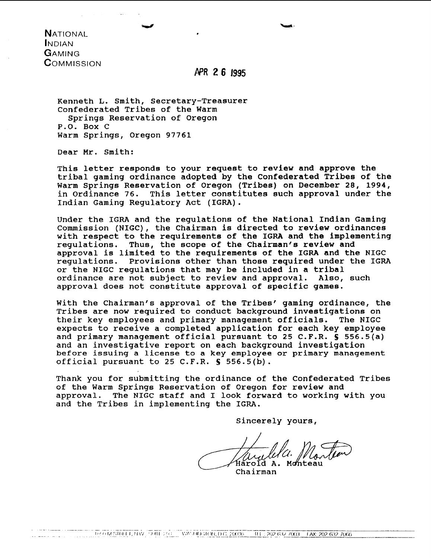**NATIONAL INDIAN** GAMING COMMISSION

## APR 2 6 1995

Kenneth L. Smith, Secretary-Treasurer Confederated Tribes of the Warm Springs Reservation of Oregon P.O. Box C Warm springs, Oregon 97761

Dear Mr. Smith:

This letter responds to your request to review and approve the tribal gaming ordinance adopted by the Confederated Tribes of the Warm Springs Reservation of Oregon (Tribes) on December 28, 1994, in Ordinance 76. This letter constitutes such approval under the Indian Gaming Regulatory Act (IGRA).

Under the IGRA and the regulations of the National Indian Gaming Commission (NIGC), the Chairman is directed to review ordinances with respect to the requirements of the IGRA and the implementing regulations. Thus, the scope of the Chairman's review and approval is limited to the requirements of the IGRA and the NIGC<br>requlations. Provisions other than those required under the IGR Provisions other than those required under the IGRA or the NIGC regulations that may be included in a tribal<br>ordinance are not subject to review and approval. Also, such ordinance are not subject to review and approval. approval does not constitute approval of specific games.

With the Chairman's approval of the Tribes' gaming ordinance, the Tribes are now required to conduct background investigations on<br>their key emplovees and primary management officials. The NIGC their key employees and primary management officials. expects to receive a completed application for each key employee and primary management official pursuant to 25 C.F.R. **S** 556.5(a) and an investigative report on each background investigation **before** issuing a license **to a key employee** or primary **management**  official pursuant to 25 C.F.R. **S** 556.5(b).

Thank you for submitting the ordinance of the Confederated Tribes of the Warm Springs Reservation of Oregon for review and<br>approval. The NIGC staff and I look forward to working The NIGC staff and I look forward to working with you and the Tribes in implementing the IGRA.

Sincerely yours,

Harold A. Monteau

Chairman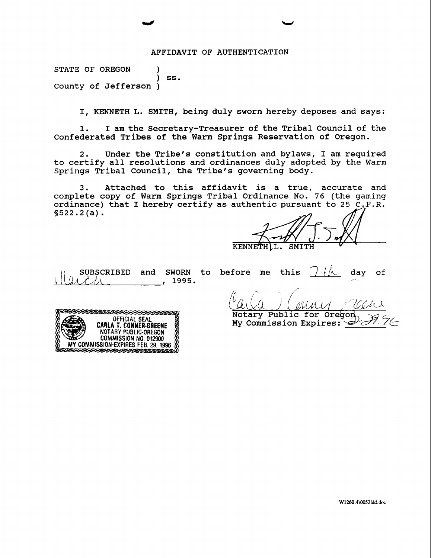#### AFFIDAVIT OF AUTHENTICATION

STATE OF OREGON 1 ) ss. County of Jefferson )

I, KENNETH L. SMITH, being duly sworn hereby deposes and says:

**1.** I am the Secretary-Treasurer of the Tribal Council of the Confederated Tribes of the Warm Springs Reservation of Oregon.

2. Under the Tribe's constitution and bylaws, I am required to certify all resolutions and ordinances duly adopted by the Warm Springs Tribal Council, the Tribe's governing body.

3. Attached to this affidavit is a true, accurate and complete copy of Warm Springs Tribal Ordinance No. 76 (the gaming ordinance) that I hereby certify as authentic pursuant to 25 C.F.R. **S522.2** (a) .

KENNETH L. SMITH

SUBSCRIBED and SWORN to before me this  $\frac{\gamma+\beta}{\beta}$  day of  $\frac{\beta+\beta}{\beta}$ 



 $\ell_{\text{A}}$  (MML) ( /'  $\frac{m}{\sqrt{c}c}$ 

My Commission Expires: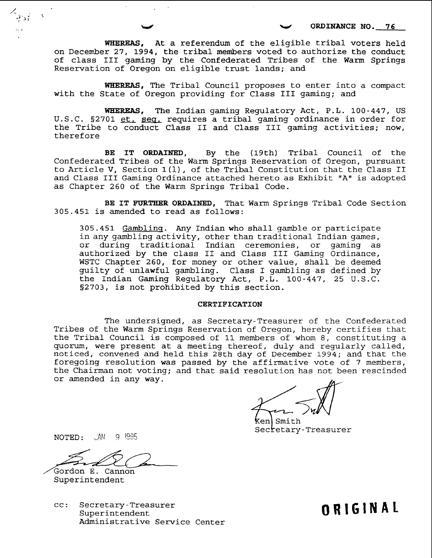**WHEREAS, At** a referendum of the eligible tribal voters held on December 27, 1994, the tribal members voted to authorize the conduct of class I11 gaming by the Confederated Tribes of the Warm Springs Reservation of Oregon on eligible trust lands; and

**WHEREAS,** The Tribal Council proposes to enter into a compact with the State of Oregon providing for Class I11 gaming; and

WHEREAS, The Indian gaming Regulatory Act, P.L. 100-447, US U.S.C. §2701 et. seq. requires a tribal gaming ordinance in order for the Tribe to conduct Class I1 and Class I11 gaming activities; now, therefore

BE IT ORDAINED, By the (19th) Tribal Council of the Confederated Tribes of the Warm Springs Reservation of Oregon, pursuant to Article V, Section 1(1), of the Tribal Constitution that the Class I1 and Class III Gaming Ordinance attached hereto as Exhibit "A" is adopted as Chapter 260 of the Warm Springs Tribal Code.

BE IT FURTHER ORDAINED, That Warm Springs Tribal Code Section 305.451 is amended to read as follows:

305.451 Gamblinq. Any Indian who shall gamble or participate in any gambling activity, other than traditional Indian games, or during traditional Indian ceremonies, or gaming as authorized by the class I1 and Class I11 Gaming Ordinance, WSTC Chapter 260, for money or other value, shall be deemed guilty of unlawful gambling. Class I gambling as defined by the Indian Gaming Regulatory Act, P.L. 100-447, 25 U.S.C. S2703, is not prohibited by this section.

#### CERTIFICATION

The undersigned, as Secretary-Treasurer of the Confederated Tribes of the Warm Springs Reservation of Oregon, hereby certifies that the Tribal Council is composed of 11 members of whom 8, constituting a quorum, were present at a meeting thereof, duly and regularly called, noticed, convened and held this 28th day of December 1994; and that the foregoing resolution was passed by the affirmative vote of 7 members, the Chairman not voting; and that said resolution has not been rescinded or amended in any way.

Smith Secretary-Treasurer

**NOTED:**  $\sqrt{AN}$  9 1995

Gordon E. Cannon Superintendent

cc: Secretary-Treasurer Superintendent Administrative Service Center **ORIGINAL**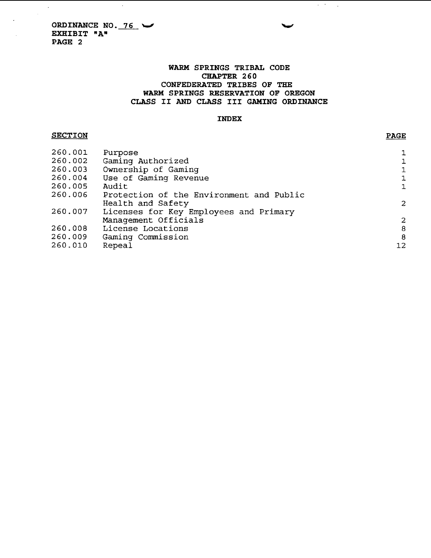$\sim$   $\sim$ 

### **WARM SPRINGS TRIBAL CODE CHAPTER 260 CONFEDERATED TRIBES OF THE WARM SPRINGS RESERVATION OF OREGON CLASS I1 AND CLASS I11 GAMING ORDINANCE**

#### **INDEX**

### **SECTION**

 $\mathcal{A}^{\mathcal{A}}$ 

 $\overline{\phantom{a}}$ 

| 260.001 | Purpose                                  | $\mathbf{1}$                               |
|---------|------------------------------------------|--------------------------------------------|
| 260.002 | Gaming Authorized                        |                                            |
| 260.003 | Ownership of Gaming                      |                                            |
| 260.004 | Use of Gaming Revenue                    | $\begin{array}{c} 1 \\ 1 \\ 1 \end{array}$ |
| 260.005 | Audit                                    |                                            |
| 260.006 | Protection of the Environment and Public |                                            |
|         | Health and Safety                        | $\overline{c}$                             |
| 260.007 | Licenses for Key Employees and Primary   |                                            |
|         | Management Officials                     |                                            |
| 260.008 | License Locations                        | $\begin{array}{c} 2 \\ 8 \end{array}$      |
| 260.009 | Gaming Commission                        | $\theta$                                   |
| 260.010 | Repeal                                   | 12                                         |
|         |                                          |                                            |

#### **PAGE**

 $\mathcal{A}^{\mathcal{A}}$  , and  $\mathcal{A}^{\mathcal{A}}$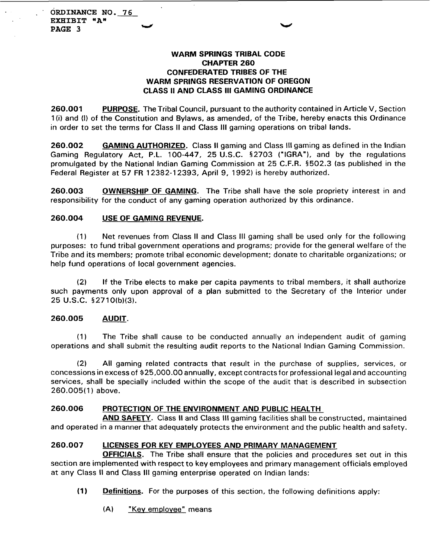## **WARM SPRINGS TRIBAL CODE CHAPTER 260 CONFEDERATED TRIBES OF THE WARM SPRINGS RESERVATION OF OREGON CLASS II AND CLASS Ill GAMING ORDINANCE**

**260.001** PURPOSE. The Tribal Council, pursuant to the authority contained in Article V, Section 1 (i) and (1) of the Constitution and Bylaws, as amended, of the Tribe, hereby enacts this Ordinance in order to set the terms for Class II and Class **Ill** gaming operations on tribal lands.

260.002 GAMING AUTHORIZED. Class II gaming and Class III gaming as defined in the Indian Gaming Regulatory Act, P.L. 100-447, 25 U.S.C. 52703 ("IGRA"), and by the regulations promulgated by the National lndian Gaming Commission at 25 C.F.R. 5502.3 (as published in the Federal Register at 57 FR 12382-1 2393, April 9, 1992) is hereby authorized.

**260.003 OWNERSHIP OF GAMING.** The Tribe shall have the sole propriety interest in and responsibility for the conduct of any gaming operation authorized by this ordinance.

## **260.004 USE OF GAMING REVENUE.**

(1) Net revenues from Class II and Class Ill gaming shall be used only for the following purposes: to fund tribal government operations and programs; provide for the general welfare of the Tribe and its members; promote tribal economic development; donate to charitable organizations; or help fund operations of local government agencies.

(2) If the Tribe elects to make per capita payments to tribal members, it shall authorize such payments only upon approval of a plan submitted to the Secretary of the Interior under 25 U.S.C. §2710(b)(3).

### **260.005 AUDIT.**

(1) The Tribe shall cause to be conducted annually an independent audit of gaming operations and shall submit the resulting audit reports to the National lndian Gaming Commission.

(2) All gaming related contracts that result in the purchase of supplies, services, or concessions in excess of \$25,000.00 annually, except contracts for professional legal and accounting services, shall be specially included within the scope of the audit that is described in subsection 260.005(1) above.

### **260.006 PROTECTION OF THE ENVIRONMENT AND PUBLIC HEALTH**

**AND SAFETY.** Class I1 and Class Ill gaming facilities shall be constructed, maintained and operated in a manner that adequately protects the environment and the public health and safety.

### **260.007 LICENSES FOR KEY EMPLOYEES AND PRIMARY MANAGEMENT**

**OFFICIALS.** The Tribe shall ensure that the policies and procedures set out in this section are implemented with respect to key employees and primary management officials employed at any Class II and Class Ill gaming enterprise operated on lndian lands:

**(1) Definitions.** For the purposes of this section, the following definitions apply:

**(A)** "Kev emolovee" means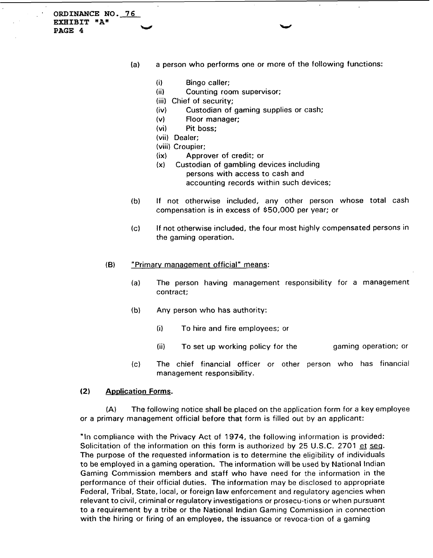**ORDINANCE NO. 76 EXHIBIT "A" PAGE 4 w** 

- (a) a person who performs one or more of the following functions:
	- (i) Bingo caller;<br>(ii) Counting roo
	- Counting room supervisor;
	- (iii) Chief of security;
	- (iv) Custodian of gaming supplies or cash;
	- (v) Floor manager;
	- (vi) Pit boss;
	- (vii) Dealer;
	- (viii) Croupier;
	- (ix) Approver of credit; or
	- **(XI** Custodian of gambling devices including persons with access to cash and accounting records within such devices;
- (b) If not otherwise included, any other person whose total cash compensation is in excess of \$50,000 per year; or
- (c) If not otherwise included, the four most highly compensated persons in the gaming operation.
- **(B)** "Primarv manaaement official" means:
	- (a) The person having management responsibility for a management contract:
	- (b) Any person who has authority:
		- (i) To hire and fire employees; or
		- (ii) To set up working policy for the gaming operation; or
	- (c) The chief financial officer or other person who has financial management responsibility.

#### **(2)** Aoolication **Forms.**

**(A)** The following notice shall be placed on the application form for a key employee or a primary management official before that form is filled out by an applicant:

"In compliance with the Privacy Act of 1974, the following information is provided: Solicitation of the information on this form is authorized by 25 U.S.C. 2701 et seg. The purpose of the requested information is to determine the eligibility of individuals to be employed in a gaming operation. The information will be used by National Indian Gaming Commission members and staff who have need for the information in the performance of their official duties. The information may be disclosed to appropriate Federal, Tribal, State, local, or foreign law enforcement and regulatory agencies when relevant to civil, criminal or regulatory investigations or prosecu-tions or when pursuant to a requirement by a tribe or the National Indian Gaming Commission in connection with the hiring or firing of an employee, the issuance or revoca-tion of a gaming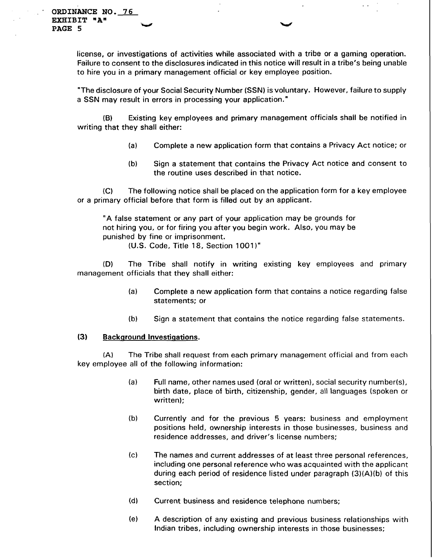license, or investigations of activities while associated with a tribe or a gaming operation. Failure to consent to the disclosures indicated in this notice will result in a tribe's being unable to hire you in a primary management official or key employee position.

"The disclosure of your Social Security Number (SSN) is voluntary. However, failure to supply a SSN may result in errors in processing your application."

**(6)** Existing key employees and primary management officials shall be notified in writing that they shall either:

- (a) Complete a new application form that contains a Privacy Act notice; or
- (b) Sign a statement that contains the Privacy Act notice and consent to the routine uses described in that notice.

(C) The following notice shall be placed on the application form for a key employee or a primary official before that form is filled out by an applicant.

"A false statement or any part of your application may be grounds for not hiring you, or for firing you after you begin work. Also, you may be punished by fine or imprisonment.

(U.S. Code, Title **18,** Section **1001 1"** 

**(D)** The Tribe shall notify in writing existing key employees and primary management officials that they shall either:

- (a) Complete a new application form that contains a notice regarding false statements; or
- (b) Sign a statement that contains the notice regarding false statements.

#### **(3)** Backaround Investiqations.

**(A)** The Tribe shall request from each primary management official and from each key employee all of the following information:

- (a) Full name, other names used (oral or written), social security number(s), birth date, place of birth, citizenship, gender, all languages (spoken or written);
- (b) Currently and for the previous 5 years: business and employment positions held, ownership interests in those businesses, business and residence addresses, and driver's license numbers;
- (c) The names and current addresses of at least three personal references, including one personal reference who was acquainted with the applicant during each period of residence listed under paragraph **(3)(A)(b)** of this section;
- (dl Current business and residence telephone numbers;
- (el A description of any existing and previous business relationships with Indian tribes, including ownership interests in those businesses;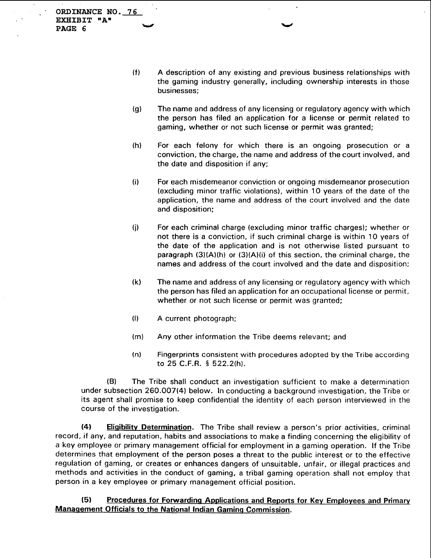ORDINANCE NO. 76<br> **EXHIBIT "A"**<br> **PAGE 6 EXHIBIT "A"** 

- (f) A description of any existing and previous business relationships with the gaming industry generally, including ownership interests in those businesses;
- (g) The name and address of any licensing or regulatory agency with which the person has filed an application for a license or permit related to gaming, whether or not such license or permit was granted;
- (h) For each felony for which there is an ongoing prosecution or a conviction, the charge, the name and address of the court involved, and the date and disposition if any;
- (i) For each misdemeanor conviction or ongoing misdemeanor prosecution (excluding minor traffic violations), within 10 years of the date of the application, the name and address of the court involved and the date and disposition;
- **(j)** For each criminal charge (excluding minor traffic charges); whether or not there is a conviction, if such criminal charge is within 10 years of the date of the application and is not otherwise listed pursuant to paragraph  $(3)(A)(h)$  or  $(3)(A)(i)$  of this section, the criminal charge, the names and address of the court involved and the date and disposition;
- (k) The name and address of any licensing or regulatory agency with which the person has filed an application for an occupational license or permit, whether or not such license or permit was granted;
- (I) A current photograph;
- (m) Any other information the Tribe deems relevant; and
- (n) Fingerprints consistent with procedures adopted by the Tribe according to 25 C.F.R. § 522.2(h).

**(B)** The Tribe shall conduct an investigation sufficient to make a determination under subsection 260.007(4) below. In conducting a background investigation, the Tribe or its agent shall promise to keep confidential the identity of each person interviewed in the course of the investigation.

**(4)** Eliqibilitv Determination. The Tribe shall review a person's prior activities, criminal record, if any, and reputation, habits and associations to make a finding concerning the eligibility of a key employee or primary management official for employment in a gaming operation. If the Tribe determines that employment of the person poses a threat to the public interest or to the effective regulation of gaming, or creates or enhances dangers of unsuitable, unfair, or illegal practices and methods and activities in the conduct of gaming, a tribal gaming operation shall not employ that person in a key employee or primary management official position.

**(5)** Procedures for Forwardinq Applications and Reports for **Kev** Employees and Primarv Manaaement Officials to the National Indian Gaminq Commission.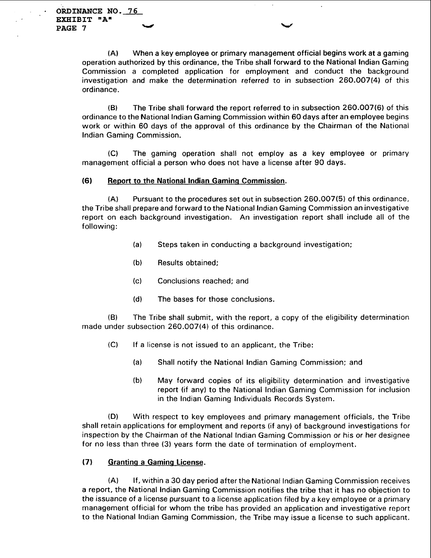**ORDINANCE NO. 76 EXHIBIT "A" PAGE 7 with a set of the set of the set of the set of the set of the set of the set of the set of the set of the set of the set of the set of the set of the set of the set of the set of the set of the set of the set of** 

> (A) When a key employee or primary management official begins work at a gaming operation authorized by this ordinance, the Tribe shall forward to the National lndian Gaming Commission a completed application for employment and conduct the background investigation and make the determination referred to in subsection 260.007(4) of this ordinance.

> (B) The Tribe shall forward the report referred to in subsection 260.007(6) of this ordinance to the National lndian Gaming Commission within 60 days after an employee begins work or within 60 days of the approval of this ordinance by the Chairman of the National lndian Gaming Commission.

> (C) The gaming operation shall not employ as a key employee or primary management official a person who does not have a license after 90 days.

### **(6)** Reoort to the National lndian Gaminq Commission.

(A) Pursuant to the procedures set out in subsection 260.007(5) of this ordinance, the Tribe shall prepare and forward to the National lndian Gaming Commission an investigative report on each background investigation. An investigation report shall include all of the following:

- (a) Steps taken in conducting a background investigation;
- (b) Results obtained;
- (c) Conclusions reached; and
- (dl The bases for those conclusions.

(B) The Tribe shall submit, with the report, a copy of the eligibility determination made under subsection 260.007(4) of this ordinance.

- (C) If a license is not issued to an applicant, the Tribe:
	- (a) Shall notify the National lndian Gaming Commission; and
	- (b) May forward copies of its eligibility determination and investigative report (if any) to the National lndian Gaming Commission for inclusion in the lndian Gaming Individuals Records System.

**(Dl** With respect to key employees and primary management officials, the Tribe shall retain applications for employment and reports (if any) of background investigations for inspection by the Chairman of the National lndian Gaming Commission or his or her designee for no less than three **(3)** years form the date of termination of employment.

### (7) Granting a Gaming License.

(A) If, within a 30 day period after the National lndian Gaming Commission receives a report, the National lndian Gaming Commission notifies the tribe that it has no objection to the issuance of a license pursuant to a license application filed by a key employee or a primary management official for whom the tribe has provided an application and investigative report to the National lndian Gaming Commission, the Tribe may issue a license to such applicant.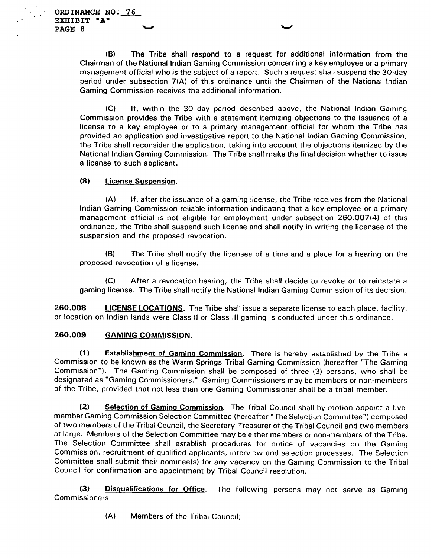(B) The Tribe shall respond to a request for additional information from the Chairman of the National lndian Gaming Commission concerning a key employee or a primary management official who is the subject of a report. Such a request shall suspend the 30-day period under subsection 7(A) of this ordinance until the Chairman of the National lndian Gaming Commission receives the additional information.

(C) If, within the 30 day period described above, the National lndian Gaming Commission provides the Tribe with a statement itemizing objections to the issuance of a license to a key employee or to a primary management official for whom the Tribe has provided an application and investigative report to the National lndian Gaming Commission, the Tribe shall reconsider the application, taking into account the objections itemized by the National lndian Gaming Commission. The Tribe shall make the final decision whether to issue a license to such applicant.

## **(8)** License Suspension.

(A) If, after the issuance of a gaming license, the Tribe receives from the National lndian Gaming Commission reliable information indicating that a key employee or a primary management official is not eligible for employment under subsection 260.007(4) of this ordinance, the Tribe shall suspend such license and shall notify in writing the licensee of the suspension and the proposed revocation.

(B) The Tribe shall notify the licensee of a time and a place for a hearing on the proposed revocation of a license.

(C) After a revocation hearing, the Tribe shall decide to revoke or to reinstate a gaming license. The Tribe shall notify the National lndian Gaming Commission of its decision.

**260.008** LICENSE LOCATIONS. The Tribe shall issue a separate license to each place, facility, or location on lndian lands were Class II or Class Ill gaming is conducted under this ordinance.

# **260.009** GAMING COMMISSION.

**(1)** Establishment of Gaming Commission. There is hereby established by the Tribe a Commission to be known as the Warm Springs Tribal Gaming Commission (hereafter "The Gaming Commission"). The Gaming Commission shall be composed of three **(3)** persons, who shall be designated as "Gaming Commissioners." Gaming Commissioners may be members or non-members of the Tribe, provided that not less than one Gaming Commissioner shall be a tribal member.

**(2)** Selection of Gaming Commission. The Tribal Council shall by motion appoint a fivemember Gaming Commission Selection Committee (hereafter "The Selection Committee") composed of two members of the Tribal Council, the Secretary-Treasurer of the Tribal Council and two members at large. Members of the Selection Committee may be either members or non-members of the Tribe. The Selection Committee shall establish procedures for notice of vacancies on the Gaming Commission, recruitment of qualified applicants, interview and selection processes. The Selection Committee shall submit their nominee(s) for any vacancy on the Gaming Commission to the Tribal Council for confirmation and appointment by Tribal Council resolution.

**(3) Disqualifications for Office**. The following persons may not serve as Gaming Commissioners:

(A) Members of the Tribal Council;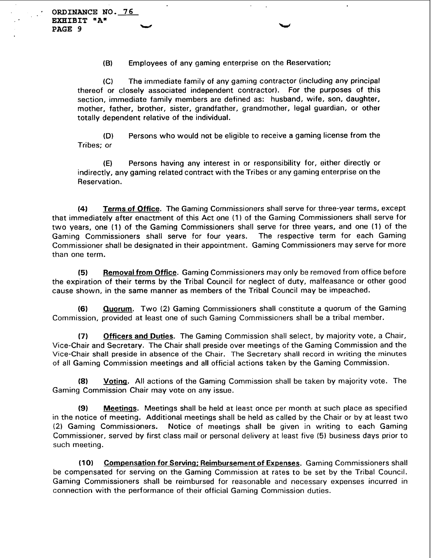**(B)** Employees of any gaming enterprise on the Reservation;

(C) The immediate family of any gaming contractor (including any principal thereof or closely associated independent contractor). For the purposes of this section, immediate family members are defined as: husband, wife, son, daughter, mother, father, brother, sister, grandfather, grandmother, legal guardian, or other totally dependent relative of the individual.

**(D)** Persons who would not be eligible to receive a gaming license from the Tribes; or

**(E)** Persons having any interest in or responsibility for, either directly or indirectly, any gaming related contract with the Tribes or any gaming enterprise on the Reservation.

**(4) Terms of Office.** The Gaming Commissioners shall serve for three-year terms, except that immediately after enactment of this Act one **(1)** of the Gaming Commissioners shall serve for two years, one **(1)** of the Gaming Commissioners shall serve for three years, and one (1) of the Gaming Commissioners shall serve for four years. Commissioner shall be designated in their appointment. Gaming Commissioners may serve for more than one term.

**(5) Removal from Office.** Gaming Commissioners may only be removed from office before the expiration of their terms by the Tribal Council for neglect of duty, malfeasance or other good cause shown, in the same manner as members of the Tribal Council may be impeached.

**(6) Quorum.** Two **(2)** Gaming Commissioners shall constitute a quorum of the Gaming Commission, provided at least one of such Gaming Commissioners shall be a tribal member.

**(7) Officers and Duties.** The Gaming Commission shall select, by majority vote, a Chair, Vice-Chair and Secretary. The Chair shall preside over meetings of the Gaming Commission and the Vice-Chair shall preside in absence of the Chair. The Secretary shall record in writing the minutes of all Gaming Commission meetings and all official actions taken by the Gaming Commission.

**(8) Voting.** All actions of the Gaming Commission shall be taken by majority vote. The Gaming Commission Chair may vote on any issue.

**(9) Meetinqs.** Meetings shall be held at least once per month at such place as specified in the notice of meeting. Additional meetings shall be held as called by the Chair or by at least two (2) Gaming Commissioners. Notice of meetings shall be given in writing to each Gaming Commissioner, served by first class mail or personal delivery at least five (5) business days prior to such meeting.

**(10) Compensation for Serving; Reimbursement of Expenses. Gaming Commissioners shall** be compensated for serving on the Gaming Commission at rates to be set by the Tribal Council. Gaming Commissioners shall be reimbursed for reasonable and necessary expenses incurred in connection with the performance of their official Gaming Commission duties.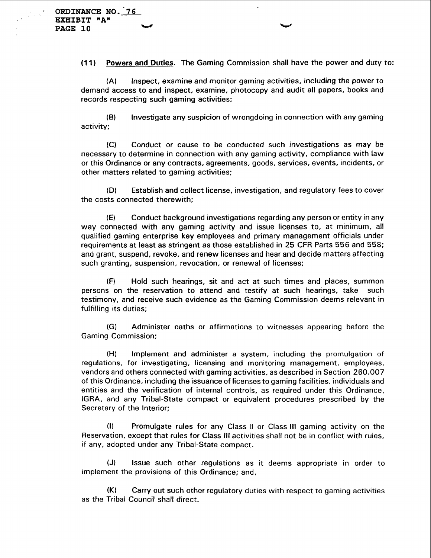**(1 1)** Powers and Duties. The Gaming Commission shall have the power and duty to:

(A) Inspect, examine and monitor gaming activities, including the power to demand access to and inspect, examine, photocopy and audit all papers, books and records respecting such gaming activities;

**(6)** Investigate any suspicion of wrongdoing in connection with any gaming activity;

(C) Conduct or cause to be conducted such investigations as may be necessary to determine in connection with any gaming activity, compliance with law or this Ordinance or any contracts, agreements, goods, services, events, incidents, or other matters related to gaming activities;

**(D)** Establish and collect license, investigation, and regulatory fees to cover the costs connected therewith;

**(El** Conduct background investigations regarding any person or entity in any way connected with any gaming activity and issue licenses to, at minimum, all qualified gaming enterprise key employees and primary management officials under requirements at least as stringent as those established in 25 CFR Parts 556 and 558; and grant, suspend, revoke, and renew licenses and hear and decide matters affecting such granting, suspension, revocation, or renewal of licenses;

(F) Hold such hearings, sit and act at such times and places, summon persons on the reservation to attend and testify at such hearings, take such testimony, and receive such evidence as the Gaming Commission deems relevant in fulfilling its duties;

**(GI** Administer oaths or affirmations to witnesses appearing before the Gaming Commission;

**(H)** Implement and administer a system, including the promulgation of regulations, for investigating, licensing and monitoring management, employees, vendors and others connected with gaming activities, as described in Section 260.007 of this Ordinance, including the issuance of licenses to gaming facilities, individuals and entities and the verification of internal controls, as required under this Ordinance, IGRA, and any Tribal-State compact or equivalent procedures prescribed by the Secretary of the Interior;

(I) Promulgate rules for any Class II or Class Ill gaming activity on the Reservation, except that rules for Class Ill activities shall not be in conflict with rules, if any, adopted under any Tribal-State compact.

**(J)** Issue such other regulations as it deems appropriate in order to implement the provisions of this Ordinance; and,

(K) Carry out such other regulatory duties with respect to gaming activities as the Tribal Council shall direct.